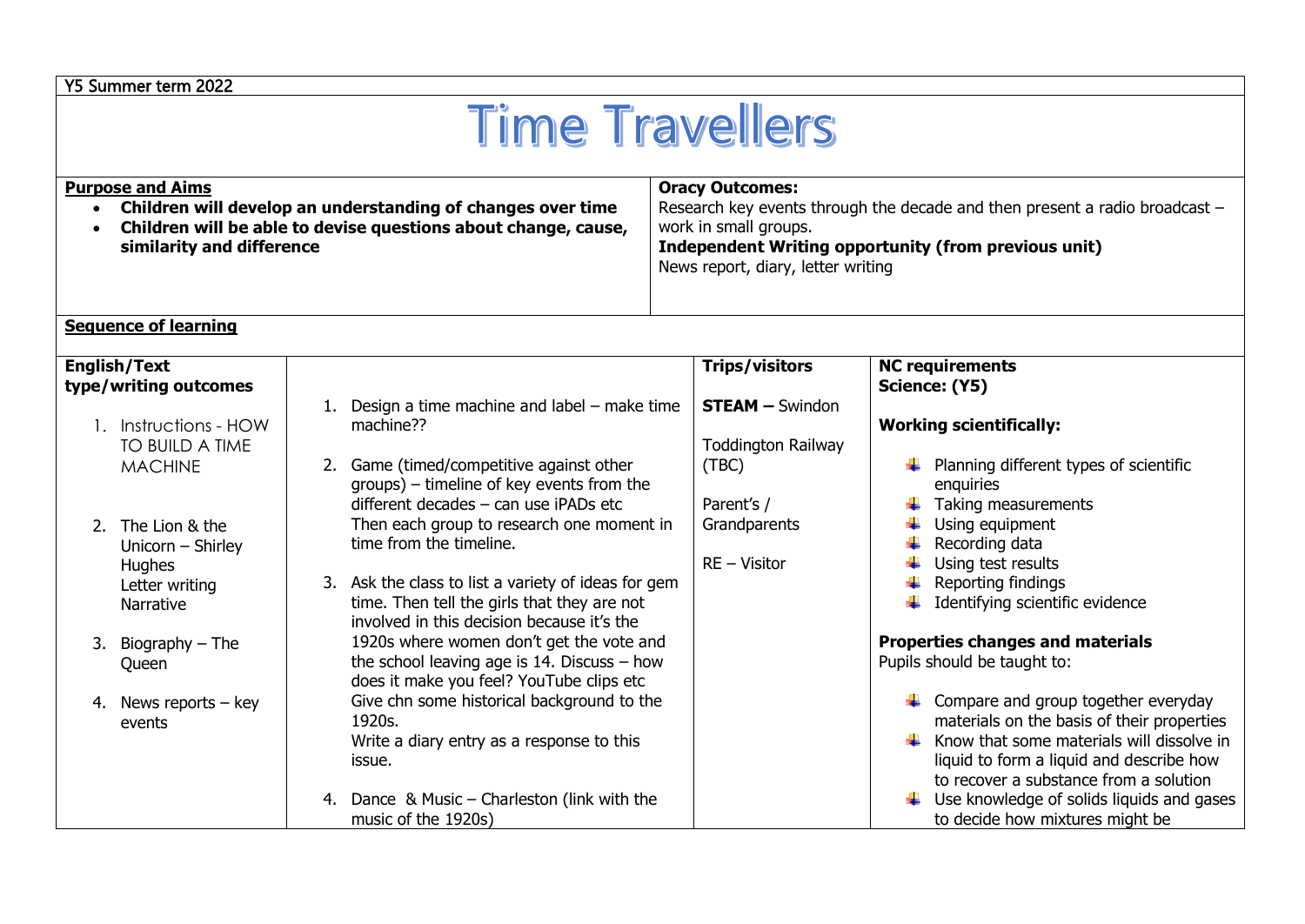## Y5 Summer term 2022

# **Time Travellers**

| <b>Purpose and Aims</b><br>Children will develop an understanding of changes over time<br>$\bullet$<br>Children will be able to devise questions about change, cause,<br>similarity and difference<br><b>Sequence of learning</b> |                                                                                                                                                                                                                                                                                  | <b>Oracy Outcomes:</b><br>Research key events through the decade and then present a radio broadcast -<br>work in small groups.<br>Independent Writing opportunity (from previous unit)<br>News report, diary, letter writing |                                                                                                                                                                                                                                                                                                                                                                                            |
|-----------------------------------------------------------------------------------------------------------------------------------------------------------------------------------------------------------------------------------|----------------------------------------------------------------------------------------------------------------------------------------------------------------------------------------------------------------------------------------------------------------------------------|------------------------------------------------------------------------------------------------------------------------------------------------------------------------------------------------------------------------------|--------------------------------------------------------------------------------------------------------------------------------------------------------------------------------------------------------------------------------------------------------------------------------------------------------------------------------------------------------------------------------------------|
| <b>English/Text</b><br>type/writing outcomes<br>1. Instructions - HOW<br>TO BUILD A TIME<br><b>MACHINE</b>                                                                                                                        | Design a time machine and label – make time<br>machine??<br>Game (timed/competitive against other<br>groups) – timeline of key events from the<br>different decades - can use iPADs etc                                                                                          | <b>Trips/visitors</b><br><b>STEAM - Swindon</b><br><b>Toddington Railway</b><br>(TBC)<br>Parent's /                                                                                                                          | <b>NC requirements</b><br>Science: (Y5)<br><b>Working scientifically:</b><br>Planning different types of scientific<br>enquiries<br>Taking measurements                                                                                                                                                                                                                                    |
| 2. The Lion & the<br>Unicorn - Shirley<br>Hughes<br>Letter writing<br>Narrative<br>3. Biography $-$ The                                                                                                                           | Then each group to research one moment in<br>time from the timeline.<br>3. Ask the class to list a variety of ideas for gem<br>time. Then tell the girls that they are not<br>involved in this decision because it's the<br>1920s where women don't get the vote and             | Grandparents<br>$RE - Visitor$                                                                                                                                                                                               | Using equipment<br>Recording data<br>Using test results<br>Reporting findings<br>Identifying scientific evidence<br><b>Properties changes and materials</b>                                                                                                                                                                                                                                |
| Queen<br>4. News reports $-$ key<br>events                                                                                                                                                                                        | the school leaving age is $14$ . Discuss - how<br>does it make you feel? YouTube clips etc<br>Give chn some historical background to the<br>1920s.<br>Write a diary entry as a response to this<br>issue.<br>4. Dance & Music - Charleston (link with the<br>music of the 1920s) |                                                                                                                                                                                                                              | Pupils should be taught to:<br>$\downarrow$ Compare and group together everyday<br>materials on the basis of their properties<br>$\frac{1}{\sqrt{2}}$ Know that some materials will dissolve in<br>liquid to form a liquid and describe how<br>to recover a substance from a solution<br>$\ddot{\phantom{2}}$ Use knowledge of solids liquids and gases<br>to decide how mixtures might be |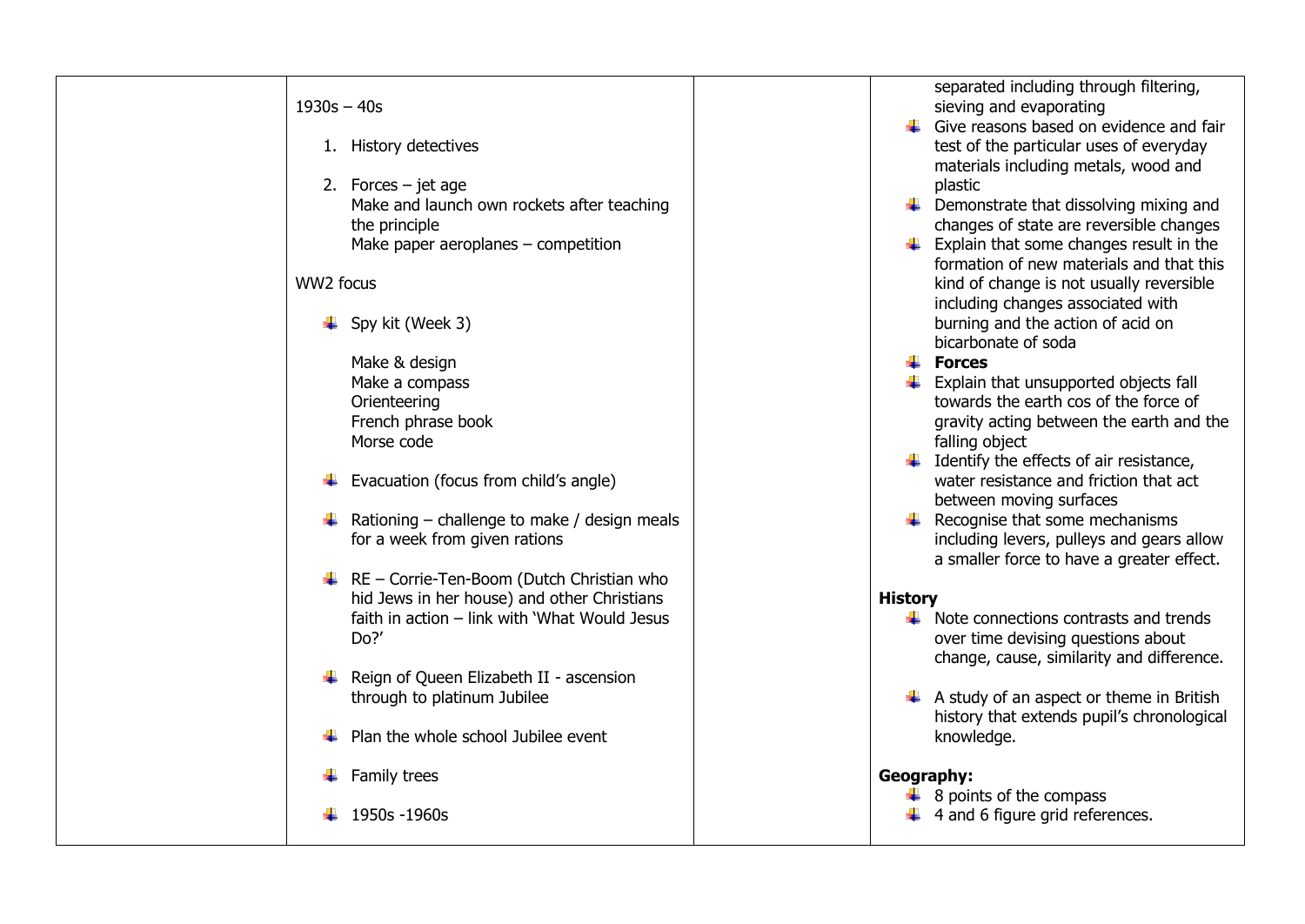#### $1930s - 40s$

- 1. History detectives
- 2. Forces jet age Make and launch own rockets after teaching the principle Make paper aeroplanes – competition

### WW<sub>2</sub> focus

- $\leftarrow$  Spy kit (Week 3)
	- Make & design Make a compass Orienteering French phrase book Morse code
- $\ddot{\bullet}$  Evacuation (focus from child's angle)
- $\bigstar$  Rationing challenge to make / design meals for a week from given rations
- $\overline{\phantom{a}+}$  RE Corrie-Ten-Boom (Dutch Christian who hid Jews in her house) and other Christians faith in action – link with 'What Would Jesus Do?'
- $\overline{\phantom{a} \bullet}$  Reign of Queen Elizabeth II ascension through to platinum Jubilee
- $\downarrow$  Plan the whole school Jubilee event
- $\ddot{\bullet}$  Family trees
- $\pm 1950s 1960s$

separated including through filtering, sieving and evaporating

- $\overline{\phantom{a}}$  Give reasons based on evidence and fair test of the particular uses of everyday materials including metals, wood and plastic
- $\downarrow$  Demonstrate that dissolving mixing and changes of state are reversible changes
- $\bigstar$  Explain that some changes result in the formation of new materials and that this kind of change is not usually reversible including changes associated with burning and the action of acid on bicarbonate of soda
- **Forces**
- $\leftarrow$  Explain that unsupported objects fall towards the earth cos of the force of gravity acting between the earth and the falling object
- $\ddot{\phantom{1}}$  Identify the effects of air resistance. water resistance and friction that act between moving surfaces
- $\bigstar$  Recognise that some mechanisms including levers, pulleys and gears allow a smaller force to have a greater effect.

### **History**

- $\downarrow$  Note connections contrasts and trends over time devising questions about change, cause, similarity and difference.
- $\overline{\phantom{a}^+}$  A study of an aspect or theme in British history that extends pupil's chronological knowledge.

### **Geography:**

- $\overline{\phantom{a}8}$  points of the compass
- $\ddot{+}$  4 and 6 figure grid references.